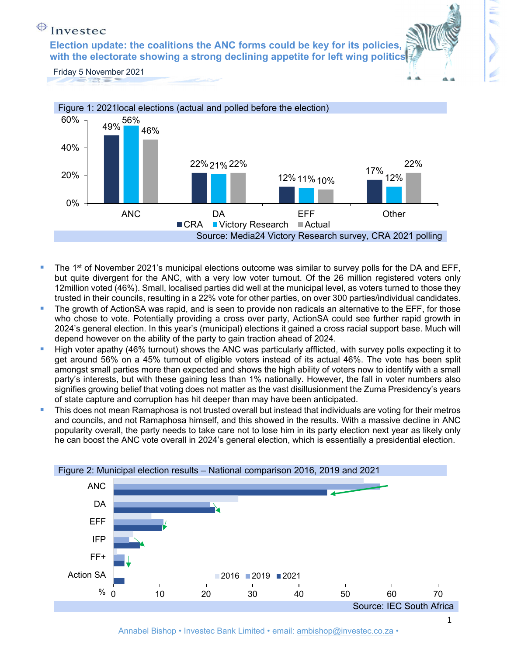**with the electorate showing a strong declining appetite for left wing politics Election update: the coalitions the ANC forms could be key for its policies,** 





- The 1<sup>st</sup> of November 2021's municipal elections outcome was similar to survey polls for the DA and EFF, but quite divergent for the ANC, with a very low voter turnout. Of the 26 million registered voters only 12million voted (46%). Small, localised parties did well at the municipal level, as voters turned to those they trusted in their councils, resulting in a 22% vote for other parties, on over 300 parties/individual candidates.
- The growth of ActionSA was rapid, and is seen to provide non radicals an alternative to the EFF, for those who chose to vote. Potentially providing a cross over party, ActionSA could see further rapid growth in 2024's general election. In this year's (municipal) elections it gained a cross racial support base. Much will depend however on the ability of the party to gain traction ahead of 2024.
- High voter apathy (46% turnout) shows the ANC was particularly afflicted, with survey polls expecting it to get around 56% on a 45% turnout of eligible voters instead of its actual 46%. The vote has been split amongst small parties more than expected and shows the high ability of voters now to identify with a small party's interests, but with these gaining less than 1% nationally. However, the fall in voter numbers also signifies growing belief that voting does not matter as the vast disillusionment the Zuma Presidency's years of state capture and corruption has hit deeper than may have been anticipated.
- This does not mean Ramaphosa is not trusted overall but instead that individuals are voting for their metros and councils, and not Ramaphosa himself, and this showed in the results. With a massive decline in ANC popularity overall, the party needs to take care not to lose him in its party election next year as likely only he can boost the ANC vote overall in 2024's general election, which is essentially a presidential election.

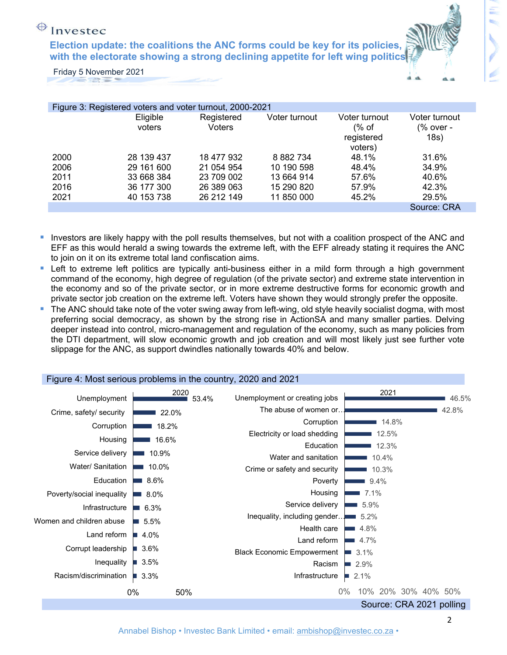**with the electorate showing a strong declining appetite for left wing politics Election update: the coalitions the ANC forms could be key for its policies,** 



Friday 5 November 2021

| Figure 3: Registered voters and voter turnout, 2000-2021 |                    |                      |               |                                                 |                                    |  |  |
|----------------------------------------------------------|--------------------|----------------------|---------------|-------------------------------------------------|------------------------------------|--|--|
|                                                          | Eligible<br>voters | Registered<br>Voters | Voter turnout | Voter turnout<br>(% of<br>registered<br>voters) | Voter turnout<br>(% over -<br>18s) |  |  |
| 2000                                                     | 28 139 437         | 18 477 932           | 8 8 8 2 7 3 4 | 48.1%                                           | 31.6%                              |  |  |
| 2006                                                     | 29 161 600         | 21 054 954           | 10 190 598    | 48.4%                                           | 34.9%                              |  |  |
| 2011                                                     | 33 668 384         | 23 709 002           | 13 664 914    | 57.6%                                           | 40.6%                              |  |  |
| 2016                                                     | 36 177 300         | 26 389 063           | 15 290 820    | 57.9%                                           | 42.3%                              |  |  |
| 2021                                                     | 40 153 738         | 26 212 149           | 11 850 000    | 45.2%                                           | 29.5%                              |  |  |
|                                                          |                    |                      |               |                                                 | Source: CRA                        |  |  |

- Investors are likely happy with the poll results themselves, but not with a coalition prospect of the ANC and EFF as this would herald a swing towards the extreme left, with the EFF already stating it requires the ANC to join on it on its extreme total land confiscation aims.
- **Left to extreme left politics are typically anti-business either in a mild form through a high government** command of the economy, high degree of regulation (of the private sector) and extreme state intervention in the economy and so of the private sector, or in more extreme destructive forms for economic growth and private sector job creation on the extreme left. Voters have shown they would strongly prefer the opposite.
- The ANC should take note of the voter swing away from left-wing, old style heavily socialist dogma, with most preferring social democracy, as shown by the strong rise in ActionSA and many smaller parties. Delving deeper instead into control, micro-management and regulation of the economy, such as many policies from the DTI department, will slow economic growth and job creation and will most likely just see further vote slippage for the ANC, as support dwindles nationally towards 40% and below.

|                           |           | $\frac{1}{2}$ igaily $\frac{1}{2}$ . Intoot bonoted proprietition in the boaritry, 2020 and 2021 |                              |
|---------------------------|-----------|--------------------------------------------------------------------------------------------------|------------------------------|
| Unemployment              | 2020      | Unemployment or creating jobs<br>53.4%                                                           | 2021<br>46.5%                |
| Crime, safety/ security   | 22.0%     | The abuse of women or                                                                            | 42.8%                        |
| Corruption                | 18.2%     | Corruption                                                                                       | 14.8%                        |
| Housing                   | 16.6%     | Electricity or load shedding                                                                     | 12.5%                        |
| Service delivery          | 10.9%     | Education                                                                                        | 12.3%                        |
|                           |           | Water and sanitation                                                                             | 10.4%                        |
| Water/ Sanitation         | 10.0%     | Crime or safety and security                                                                     | 10.3%                        |
| Education                 | 8.6%      | Poverty                                                                                          | 9.4%                         |
| Poverty/social inequality | $8.0\%$   | Housing                                                                                          | 7.1%                         |
| Infrastructure            | 6.3%      | Service delivery                                                                                 | 5.9%                         |
| Women and children abuse  | 5.5%      | Inequality, including gender                                                                     | 5.2%                         |
| Land reform               | ■ 4.0%    | Health care                                                                                      | 4.8%                         |
|                           |           | Land reform                                                                                      | 4.7%                         |
| Corrupt leadership        | ■ 3.6%    | <b>Black Economic Empowerment</b>                                                                | 3.1%                         |
| Inequality                | ■ 3.5%    | Racism                                                                                           | 2.9%<br>$\sim$               |
| Racism/discrimination     | 3.3%      | Infrastructure                                                                                   | 2.1%<br><b>I</b>             |
|                           | 0%<br>50% |                                                                                                  | $0\%$<br>10% 20% 30% 40% 50% |
|                           |           |                                                                                                  | Source: CRA 2021 polling     |

#### Figure 4: Most serious problems in the country, 2020 and 2021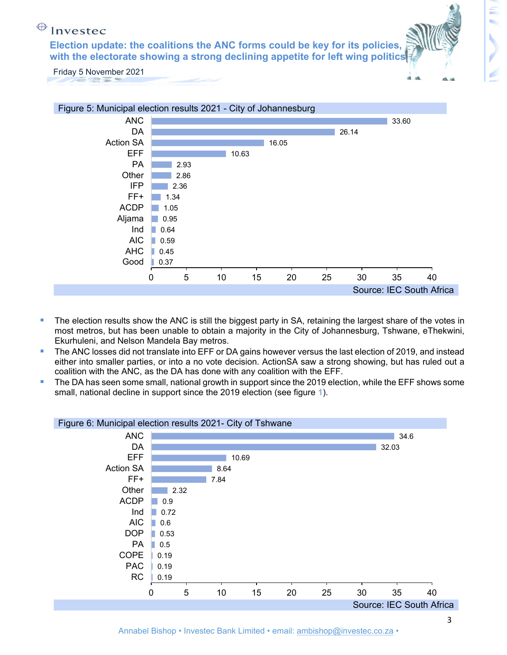**with the electorate showing a strong declining appetite for left wing politics Election update: the coalitions the ANC forms could be key for its policies,** 



Friday 5 November 2021



- The election results show the ANC is still the biggest party in SA, retaining the largest share of the votes in most metros, but has been unable to obtain a majority in the City of Johannesburg, Tshwane, eThekwini, Ekurhuleni, and Nelson Mandela Bay metros.
- The ANC losses did not translate into EFF or DA gains however versus the last election of 2019, and instead either into smaller parties, or into a no vote decision. ActionSA saw a strong showing, but has ruled out a coalition with the ANC, as the DA has done with any coalition with the EFF.
- The DA has seen some small, national growth in support since the 2019 election, while the EFF shows some small, national decline in support since the 2019 election (see figure **1**).



Annabel Bishop • Investec Bank Limited • email: ambishop@investec.co.za •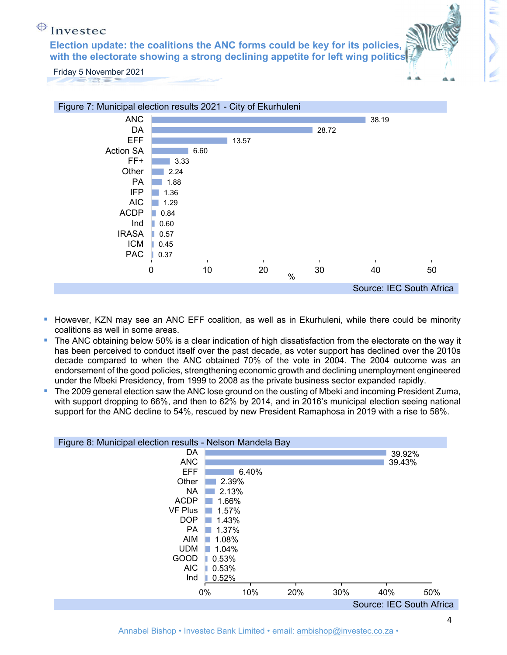**with the electorate showing a strong declining appetite for left wing politics Election update: the coalitions the ANC forms could be key for its policies,** 



- **However, KZN may see an ANC EFF coalition, as well as in Ekurhuleni, while there could be minority** coalitions as well in some areas.
- The ANC obtaining below 50% is a clear indication of high dissatisfaction from the electorate on the way it has been perceived to conduct itself over the past decade, as voter support has declined over the 2010s decade compared to when the ANC obtained 70% of the vote in 2004. The 2004 outcome was an endorsement of the good policies, strengthening economic growth and declining unemployment engineered under the Mbeki Presidency, from 1999 to 2008 as the private business sector expanded rapidly.
- The 2009 general election saw the ANC lose ground on the ousting of Mbeki and incoming President Zuma, with support dropping to 66%, and then to 62% by 2014, and in 2016's municipal election seeing national support for the ANC decline to 54%, rescued by new President Ramaphosa in 2019 with a rise to 58%.

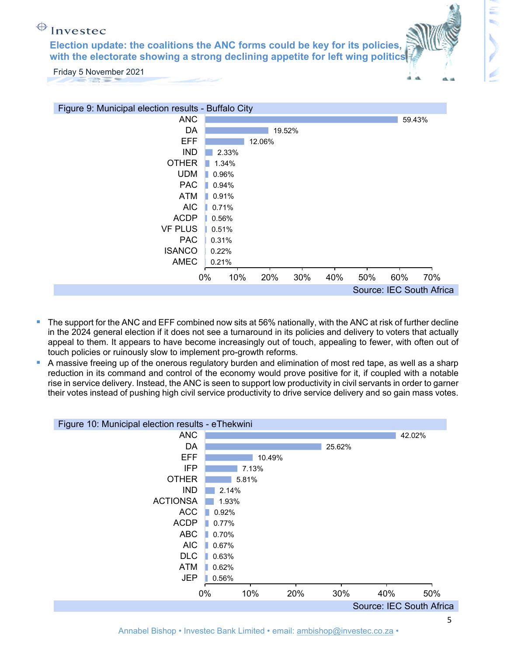**with the electorate showing a strong declining appetite for left wing politics Election update: the coalitions the ANC forms could be key for its policies,** 





- The support for the ANC and EFF combined now sits at 56% nationally, with the ANC at risk of further decline in the 2024 general election if it does not see a turnaround in its policies and delivery to voters that actually appeal to them. It appears to have become increasingly out of touch, appealing to fewer, with often out of touch policies or ruinously slow to implement pro-growth reforms.
- A massive freeing up of the onerous regulatory burden and elimination of most red tape, as well as a sharp reduction in its command and control of the economy would prove positive for it, if coupled with a notable rise in service delivery. Instead, the ANC is seen to support low productivity in civil servants in order to garner their votes instead of pushing high civil service productivity to drive service delivery and so gain mass votes.

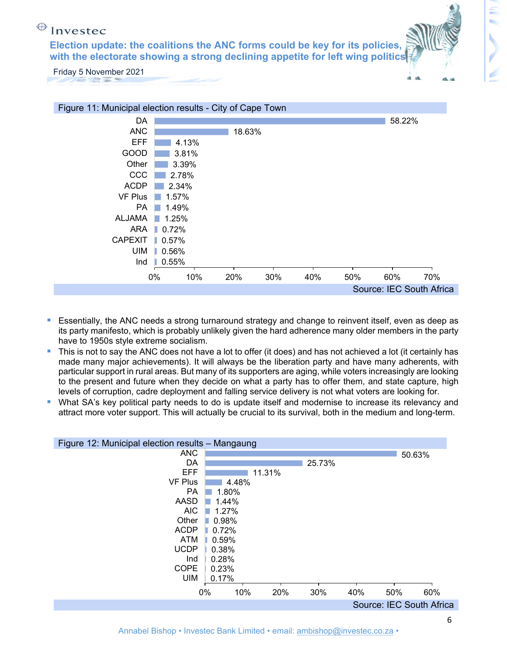**with the electorate showing a strong declining appetite for left wing politics Election update: the coalitions the ANC forms could be key for its policies,** 





- Essentially, the ANC needs a strong turnaround strategy and change to reinvent itself, even as deep as its party manifesto, which is probably unlikely given the hard adherence many older members in the party have to 1950s style extreme socialism.
- This is not to say the ANC does not have a lot to offer (it does) and has not achieved a lot (it certainly has made many major achievements). It will always be the liberation party and have many adherents, with particular support in rural areas. But many of its supporters are aging, while voters increasingly are looking to the present and future when they decide on what a party has to offer them, and state capture, high levels of corruption, cadre deployment and falling service delivery is not what voters are looking for.
- What SA's key political party needs to do is update itself and modernise to increase its relevancy and attract more voter support. This will actually be crucial to its survival, both in the medium and long-term.

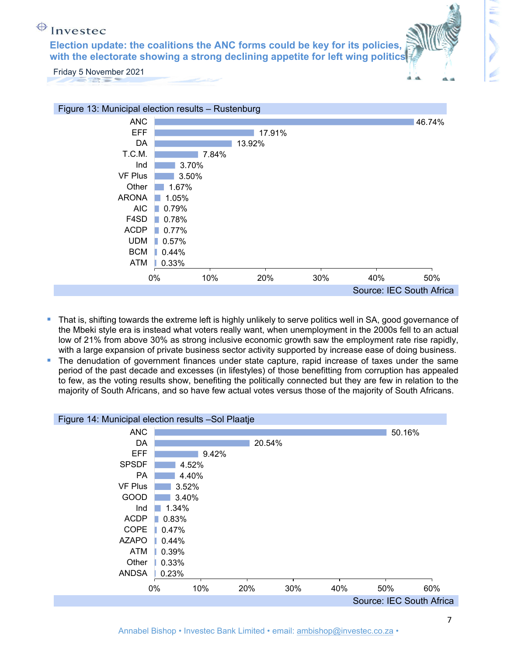**with the electorate showing a strong declining appetite for left wing politics Election update: the coalitions the ANC forms could be key for its policies,** 





- That is, shifting towards the extreme left is highly unlikely to serve politics well in SA, good governance of the Mbeki style era is instead what voters really want, when unemployment in the 2000s fell to an actual low of 21% from above 30% as strong inclusive economic growth saw the employment rate rise rapidly, with a large expansion of private business sector activity supported by increase ease of doing business.
- The denudation of government finances under state capture, rapid increase of taxes under the same period of the past decade and excesses (in lifestyles) of those benefitting from corruption has appealed to few, as the voting results show, benefiting the politically connected but they are few in relation to the majority of South Africans, and so have few actual votes versus those of the majority of South Africans.

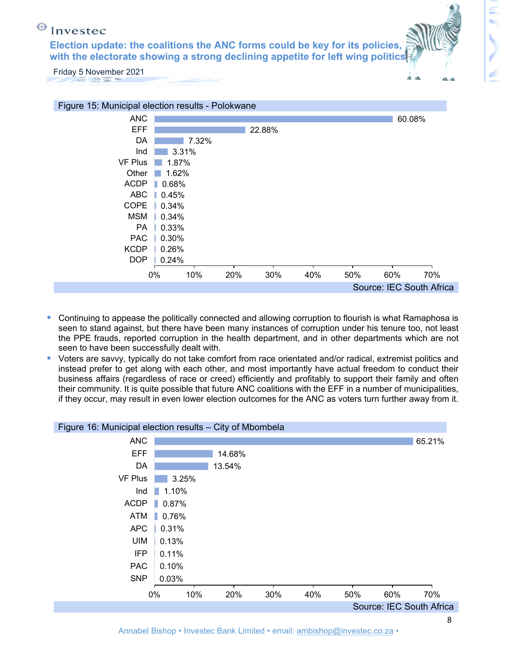**with the electorate showing a strong declining appetite for left wing politics Election update: the coalitions the ANC forms could be key for its policies,** 



- Continuing to appease the politically connected and allowing corruption to flourish is what Ramaphosa is seen to stand against, but there have been many instances of corruption under his tenure too, not least the PPE frauds, reported corruption in the health department, and in other departments which are not seen to have been successfully dealt with.
- Voters are savvy, typically do not take comfort from race orientated and/or radical, extremist politics and instead prefer to get along with each other, and most importantly have actual freedom to conduct their business affairs (regardless of race or creed) efficiently and profitably to support their family and often their community. It is quite possible that future ANC coalitions with the EFF in a number of municipalities, if they occur, may result in even lower election outcomes for the ANC as voters turn further away from it.

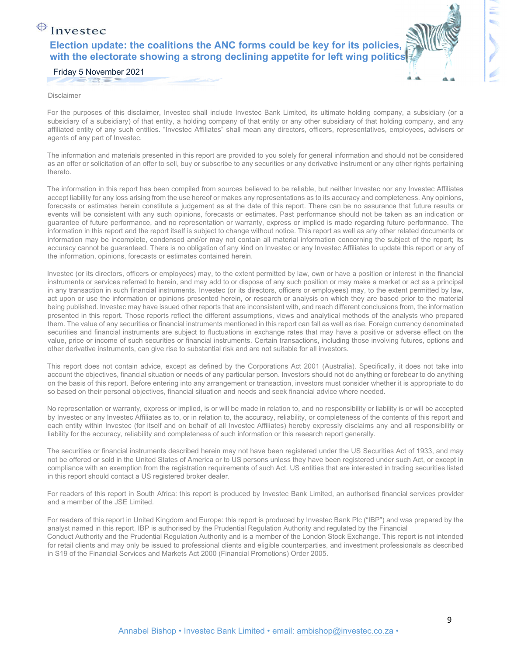#### $\bigoplus$  Investec **Election update: the coalitions the ANC forms could be key for its policies, with the electorate showing a strong declining appetite for left wing politics**



Friday 5 November 2021

Disclaimer

For the purposes of this disclaimer, Investec shall include Investec Bank Limited, its ultimate holding company, a subsidiary (or a subsidiary of a subsidiary) of that entity, a holding company of that entity or any other subsidiary of that holding company, and any affiliated entity of any such entities. "Investec Affiliates" shall mean any directors, officers, representatives, employees, advisers or agents of any part of Investec.

The information and materials presented in this report are provided to you solely for general information and should not be considered as an offer or solicitation of an offer to sell, buy or subscribe to any securities or any derivative instrument or any other rights pertaining thereto.

The information in this report has been compiled from sources believed to be reliable, but neither Investec nor any Investec Affiliates accept liability for any loss arising from the use hereof or makes any representations as to its accuracy and completeness. Any opinions, forecasts or estimates herein constitute a judgement as at the date of this report. There can be no assurance that future results or events will be consistent with any such opinions, forecasts or estimates. Past performance should not be taken as an indication or guarantee of future performance, and no representation or warranty, express or implied is made regarding future performance. The information in this report and the report itself is subject to change without notice. This report as well as any other related documents or information may be incomplete, condensed and/or may not contain all material information concerning the subject of the report; its accuracy cannot be guaranteed. There is no obligation of any kind on Investec or any Investec Affiliates to update this report or any of the information, opinions, forecasts or estimates contained herein.

Investec (or its directors, officers or employees) may, to the extent permitted by law, own or have a position or interest in the financial instruments or services referred to herein, and may add to or dispose of any such position or may make a market or act as a principal in any transaction in such financial instruments. Investec (or its directors, officers or employees) may, to the extent permitted by law, act upon or use the information or opinions presented herein, or research or analysis on which they are based prior to the material being published. Investec may have issued other reports that are inconsistent with, and reach different conclusions from, the information presented in this report. Those reports reflect the different assumptions, views and analytical methods of the analysts who prepared them. The value of any securities or financial instruments mentioned in this report can fall as well as rise. Foreign currency denominated securities and financial instruments are subject to fluctuations in exchange rates that may have a positive or adverse effect on the value, price or income of such securities or financial instruments. Certain transactions, including those involving futures, options and other derivative instruments, can give rise to substantial risk and are not suitable for all investors.

This report does not contain advice, except as defined by the Corporations Act 2001 (Australia). Specifically, it does not take into account the objectives, financial situation or needs of any particular person. Investors should not do anything or forebear to do anything on the basis of this report. Before entering into any arrangement or transaction, investors must consider whether it is appropriate to do so based on their personal objectives, financial situation and needs and seek financial advice where needed.

No representation or warranty, express or implied, is or will be made in relation to, and no responsibility or liability is or will be accepted by Investec or any Investec Affiliates as to, or in relation to, the accuracy, reliability, or completeness of the contents of this report and each entity within Investec (for itself and on behalf of all Investec Affiliates) hereby expressly disclaims any and all responsibility or liability for the accuracy, reliability and completeness of such information or this research report generally.

The securities or financial instruments described herein may not have been registered under the US Securities Act of 1933, and may not be offered or sold in the United States of America or to US persons unless they have been registered under such Act, or except in compliance with an exemption from the registration requirements of such Act. US entities that are interested in trading securities listed in this report should contact a US registered broker dealer.

For readers of this report in South Africa: this report is produced by Investec Bank Limited, an authorised financial services provider and a member of the JSE Limited.

For readers of this report in United Kingdom and Europe: this report is produced by Investec Bank Plc ("IBP") and was prepared by the analyst named in this report. IBP is authorised by the Prudential Regulation Authority and regulated by the Financial Conduct Authority and the Prudential Regulation Authority and is a member of the London Stock Exchange. This report is not intended for retail clients and may only be issued to professional clients and eligible counterparties, and investment professionals as described in S19 of the Financial Services and Markets Act 2000 (Financial Promotions) Order 2005.